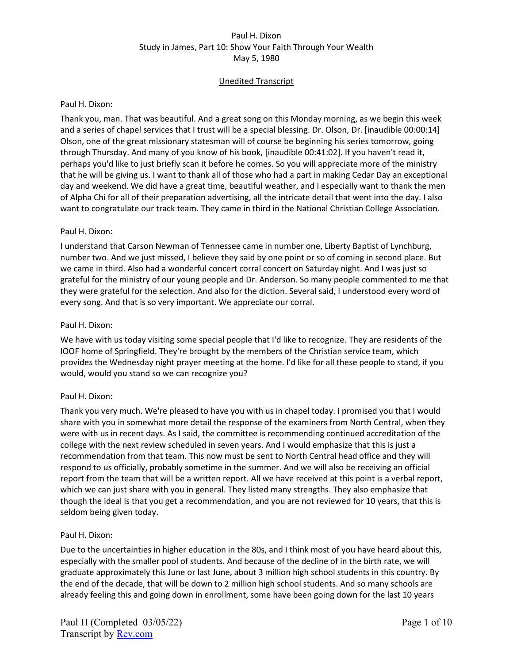# Unedited Transcript

### Paul H. Dixon:

Thank you, man. That was beautiful. And a great song on this Monday morning, as we begin this week and a series of chapel services that I trust will be a special blessing. Dr. Olson, Dr. [inaudible 00:00:14] Olson, one of the great missionary statesman will of course be beginning his series tomorrow, going through Thursday. And many of you know of his book, [inaudible 00:41:02]. If you haven't read it, perhaps you'd like to just briefly scan it before he comes. So you will appreciate more of the ministry that he will be giving us. I want to thank all of those who had a part in making Cedar Day an exceptional day and weekend. We did have a great time, beautiful weather, and I especially want to thank the men of Alpha Chi for all of their preparation advertising, all the intricate detail that went into the day. I also want to congratulate our track team. They came in third in the National Christian College Association.

## Paul H. Dixon:

I understand that Carson Newman of Tennessee came in number one, Liberty Baptist of Lynchburg, number two. And we just missed, I believe they said by one point or so of coming in second place. But we came in third. Also had a wonderful concert corral concert on Saturday night. And I was just so grateful for the ministry of our young people and Dr. Anderson. So many people commented to me that they were grateful for the selection. And also for the diction. Several said, I understood every word of every song. And that is so very important. We appreciate our corral.

## Paul H. Dixon:

We have with us today visiting some special people that I'd like to recognize. They are residents of the IOOF home of Springfield. They're brought by the members of the Christian service team, which provides the Wednesday night prayer meeting at the home. I'd like for all these people to stand, if you would, would you stand so we can recognize you?

# Paul H. Dixon:

Thank you very much. We're pleased to have you with us in chapel today. I promised you that I would share with you in somewhat more detail the response of the examiners from North Central, when they were with us in recent days. As I said, the committee is recommending continued accreditation of the college with the next review scheduled in seven years. And I would emphasize that this is just a recommendation from that team. This now must be sent to North Central head office and they will respond to us officially, probably sometime in the summer. And we will also be receiving an official report from the team that will be a written report. All we have received at this point is a verbal report, which we can just share with you in general. They listed many strengths. They also emphasize that though the ideal is that you get a recommendation, and you are not reviewed for 10 years, that this is seldom being given today.

#### Paul H. Dixon:

Due to the uncertainties in higher education in the 80s, and I think most of you have heard about this, especially with the smaller pool of students. And because of the decline of in the birth rate, we will graduate approximately this June or last June, about 3 million high school students in this country. By the end of the decade, that will be down to 2 million high school students. And so many schools are already feeling this and going down in enrollment, some have been going down for the last 10 years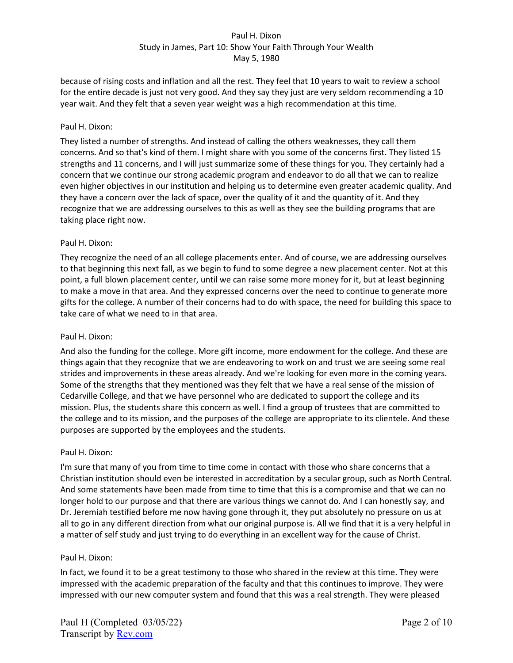because of rising costs and inflation and all the rest. They feel that 10 years to wait to review a school for the entire decade is just not very good. And they say they just are very seldom recommending a 10 year wait. And they felt that a seven year weight was a high recommendation at this time.

## Paul H. Dixon:

They listed a number of strengths. And instead of calling the others weaknesses, they call them concerns. And so that's kind of them. I might share with you some of the concerns first. They listed 15 strengths and 11 concerns, and I will just summarize some of these things for you. They certainly had a concern that we continue our strong academic program and endeavor to do all that we can to realize even higher objectives in our institution and helping us to determine even greater academic quality. And they have a concern over the lack of space, over the quality of it and the quantity of it. And they recognize that we are addressing ourselves to this as well as they see the building programs that are taking place right now.

## Paul H. Dixon:

They recognize the need of an all college placements enter. And of course, we are addressing ourselves to that beginning this next fall, as we begin to fund to some degree a new placement center. Not at this point, a full blown placement center, until we can raise some more money for it, but at least beginning to make a move in that area. And they expressed concerns over the need to continue to generate more gifts for the college. A number of their concerns had to do with space, the need for building this space to take care of what we need to in that area.

### Paul H. Dixon:

And also the funding for the college. More gift income, more endowment for the college. And these are things again that they recognize that we are endeavoring to work on and trust we are seeing some real strides and improvements in these areas already. And we're looking for even more in the coming years. Some of the strengths that they mentioned was they felt that we have a real sense of the mission of Cedarville College, and that we have personnel who are dedicated to support the college and its mission. Plus, the students share this concern as well. I find a group of trustees that are committed to the college and to its mission, and the purposes of the college are appropriate to its clientele. And these purposes are supported by the employees and the students.

#### Paul H. Dixon:

I'm sure that many of you from time to time come in contact with those who share concerns that a Christian institution should even be interested in accreditation by a secular group, such as North Central. And some statements have been made from time to time that this is a compromise and that we can no longer hold to our purpose and that there are various things we cannot do. And I can honestly say, and Dr. Jeremiah testified before me now having gone through it, they put absolutely no pressure on us at all to go in any different direction from what our original purpose is. All we find that it is a very helpful in a matter of self study and just trying to do everything in an excellent way for the cause of Christ.

# Paul H. Dixon:

In fact, we found it to be a great testimony to those who shared in the review at this time. They were impressed with the academic preparation of the faculty and that this continues to improve. They were impressed with our new computer system and found that this was a real strength. They were pleased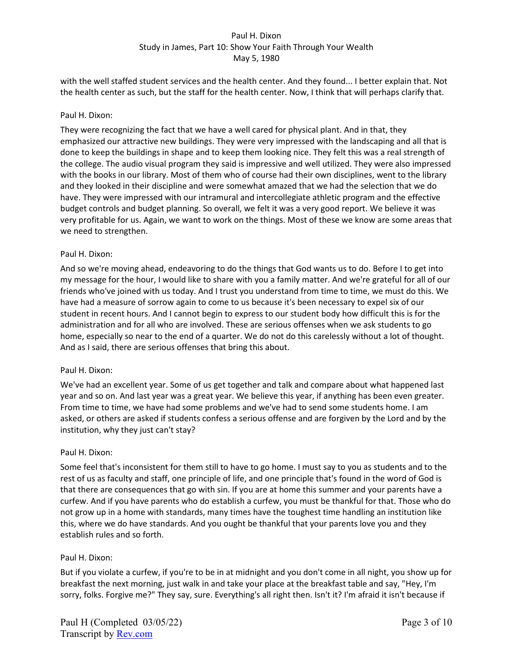with the well staffed student services and the health center. And they found... I better explain that. Not the health center as such, but the staff for the health center. Now, I think that will perhaps clarify that.

## Paul H. Dixon:

They were recognizing the fact that we have a well cared for physical plant. And in that, they emphasized our attractive new buildings. They were very impressed with the landscaping and all that is done to keep the buildings in shape and to keep them looking nice. They felt this was a real strength of the college. The audio visual program they said is impressive and well utilized. They were also impressed with the books in our library. Most of them who of course had their own disciplines, went to the library and they looked in their discipline and were somewhat amazed that we had the selection that we do have. They were impressed with our intramural and intercollegiate athletic program and the effective budget controls and budget planning. So overall, we felt it was a very good report. We believe it was very profitable for us. Again, we want to work on the things. Most of these we know are some areas that we need to strengthen.

## Paul H. Dixon:

And so we're moving ahead, endeavoring to do the things that God wants us to do. Before I to get into my message for the hour, I would like to share with you a family matter. And we're grateful for all of our friends who've joined with us today. And I trust you understand from time to time, we must do this. We have had a measure of sorrow again to come to us because it's been necessary to expel six of our student in recent hours. And I cannot begin to express to our student body how difficult this is for the administration and for all who are involved. These are serious offenses when we ask students to go home, especially so near to the end of a quarter. We do not do this carelessly without a lot of thought. And as I said, there are serious offenses that bring this about.

#### Paul H. Dixon:

We've had an excellent year. Some of us get together and talk and compare about what happened last year and so on. And last year was a great year. We believe this year, if anything has been even greater. From time to time, we have had some problems and we've had to send some students home. I am asked, or others are asked if students confess a serious offense and are forgiven by the Lord and by the institution, why they just can't stay?

#### Paul H. Dixon:

Some feel that's inconsistent for them still to have to go home. I must say to you as students and to the rest of us as faculty and staff, one principle of life, and one principle that's found in the word of God is that there are consequences that go with sin. If you are at home this summer and your parents have a curfew. And if you have parents who do establish a curfew, you must be thankful for that. Those who do not grow up in a home with standards, many times have the toughest time handling an institution like this, where we do have standards. And you ought be thankful that your parents love you and they establish rules and so forth.

# Paul H. Dixon:

But if you violate a curfew, if you're to be in at midnight and you don't come in all night, you show up for breakfast the next morning, just walk in and take your place at the breakfast table and say, "Hey, I'm sorry, folks. Forgive me?" They say, sure. Everything's all right then. Isn't it? I'm afraid it isn't because if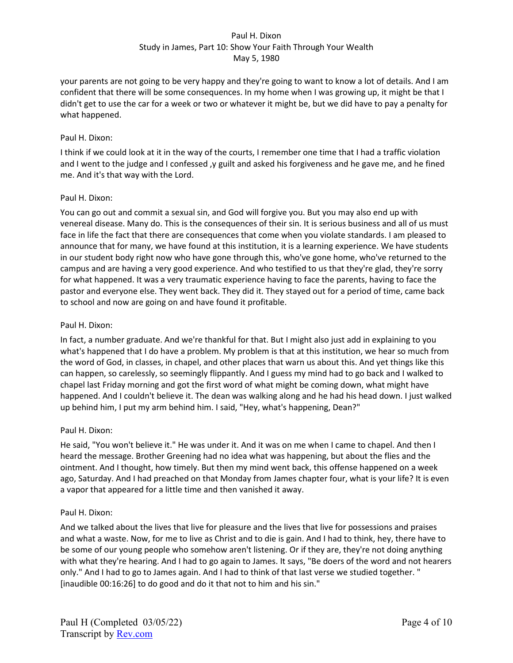your parents are not going to be very happy and they're going to want to know a lot of details. And I am confident that there will be some consequences. In my home when I was growing up, it might be that I didn't get to use the car for a week or two or whatever it might be, but we did have to pay a penalty for what happened.

# Paul H. Dixon:

I think if we could look at it in the way of the courts, I remember one time that I had a traffic violation and I went to the judge and I confessed ,y guilt and asked his forgiveness and he gave me, and he fined me. And it's that way with the Lord.

# Paul H. Dixon:

You can go out and commit a sexual sin, and God will forgive you. But you may also end up with venereal disease. Many do. This is the consequences of their sin. It is serious business and all of us must face in life the fact that there are consequences that come when you violate standards. I am pleased to announce that for many, we have found at this institution, it is a learning experience. We have students in our student body right now who have gone through this, who've gone home, who've returned to the campus and are having a very good experience. And who testified to us that they're glad, they're sorry for what happened. It was a very traumatic experience having to face the parents, having to face the pastor and everyone else. They went back. They did it. They stayed out for a period of time, came back to school and now are going on and have found it profitable.

# Paul H. Dixon:

In fact, a number graduate. And we're thankful for that. But I might also just add in explaining to you what's happened that I do have a problem. My problem is that at this institution, we hear so much from the word of God, in classes, in chapel, and other places that warn us about this. And yet things like this can happen, so carelessly, so seemingly flippantly. And I guess my mind had to go back and I walked to chapel last Friday morning and got the first word of what might be coming down, what might have happened. And I couldn't believe it. The dean was walking along and he had his head down. I just walked up behind him, I put my arm behind him. I said, "Hey, what's happening, Dean?"

# Paul H. Dixon:

He said, "You won't believe it." He was under it. And it was on me when I came to chapel. And then I heard the message. Brother Greening had no idea what was happening, but about the flies and the ointment. And I thought, how timely. But then my mind went back, this offense happened on a week ago, Saturday. And I had preached on that Monday from James chapter four, what is your life? It is even a vapor that appeared for a little time and then vanished it away.

# Paul H. Dixon:

And we talked about the lives that live for pleasure and the lives that live for possessions and praises and what a waste. Now, for me to live as Christ and to die is gain. And I had to think, hey, there have to be some of our young people who somehow aren't listening. Or if they are, they're not doing anything with what they're hearing. And I had to go again to James. It says, "Be doers of the word and not hearers only." And I had to go to James again. And I had to think of that last verse we studied together. " [inaudible 00:16:26] to do good and do it that not to him and his sin."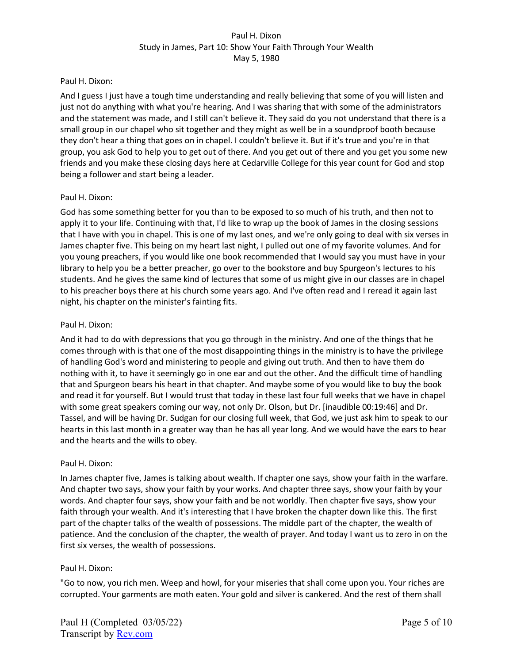### Paul H. Dixon:

And I guess I just have a tough time understanding and really believing that some of you will listen and just not do anything with what you're hearing. And I was sharing that with some of the administrators and the statement was made, and I still can't believe it. They said do you not understand that there is a small group in our chapel who sit together and they might as well be in a soundproof booth because they don't hear a thing that goes on in chapel. I couldn't believe it. But if it's true and you're in that group, you ask God to help you to get out of there. And you get out of there and you get you some new friends and you make these closing days here at Cedarville College for this year count for God and stop being a follower and start being a leader.

## Paul H. Dixon:

God has some something better for you than to be exposed to so much of his truth, and then not to apply it to your life. Continuing with that, I'd like to wrap up the book of James in the closing sessions that I have with you in chapel. This is one of my last ones, and we're only going to deal with six verses in James chapter five. This being on my heart last night, I pulled out one of my favorite volumes. And for you young preachers, if you would like one book recommended that I would say you must have in your library to help you be a better preacher, go over to the bookstore and buy Spurgeon's lectures to his students. And he gives the same kind of lectures that some of us might give in our classes are in chapel to his preacher boys there at his church some years ago. And I've often read and I reread it again last night, his chapter on the minister's fainting fits.

## Paul H. Dixon:

And it had to do with depressions that you go through in the ministry. And one of the things that he comes through with is that one of the most disappointing things in the ministry is to have the privilege of handling God's word and ministering to people and giving out truth. And then to have them do nothing with it, to have it seemingly go in one ear and out the other. And the difficult time of handling that and Spurgeon bears his heart in that chapter. And maybe some of you would like to buy the book and read it for yourself. But I would trust that today in these last four full weeks that we have in chapel with some great speakers coming our way, not only Dr. Olson, but Dr. [inaudible 00:19:46] and Dr. Tassel, and will be having Dr. Sudgan for our closing full week, that God, we just ask him to speak to our hearts in this last month in a greater way than he has all year long. And we would have the ears to hear and the hearts and the wills to obey.

#### Paul H. Dixon:

In James chapter five, James is talking about wealth. If chapter one says, show your faith in the warfare. And chapter two says, show your faith by your works. And chapter three says, show your faith by your words. And chapter four says, show your faith and be not worldly. Then chapter five says, show your faith through your wealth. And it's interesting that I have broken the chapter down like this. The first part of the chapter talks of the wealth of possessions. The middle part of the chapter, the wealth of patience. And the conclusion of the chapter, the wealth of prayer. And today I want us to zero in on the first six verses, the wealth of possessions.

#### Paul H. Dixon:

"Go to now, you rich men. Weep and howl, for your miseries that shall come upon you. Your riches are corrupted. Your garments are moth eaten. Your gold and silver is cankered. And the rest of them shall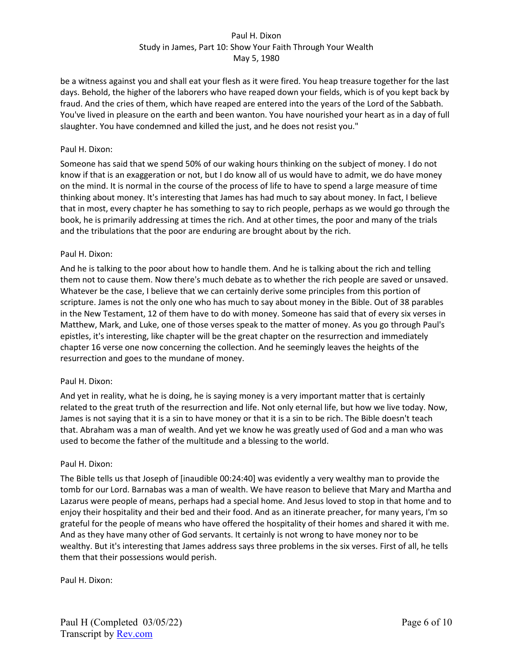be a witness against you and shall eat your flesh as it were fired. You heap treasure together for the last days. Behold, the higher of the laborers who have reaped down your fields, which is of you kept back by fraud. And the cries of them, which have reaped are entered into the years of the Lord of the Sabbath. You've lived in pleasure on the earth and been wanton. You have nourished your heart as in a day of full slaughter. You have condemned and killed the just, and he does not resist you."

### Paul H. Dixon:

Someone has said that we spend 50% of our waking hours thinking on the subject of money. I do not know if that is an exaggeration or not, but I do know all of us would have to admit, we do have money on the mind. It is normal in the course of the process of life to have to spend a large measure of time thinking about money. It's interesting that James has had much to say about money. In fact, I believe that in most, every chapter he has something to say to rich people, perhaps as we would go through the book, he is primarily addressing at times the rich. And at other times, the poor and many of the trials and the tribulations that the poor are enduring are brought about by the rich.

## Paul H. Dixon:

And he is talking to the poor about how to handle them. And he is talking about the rich and telling them not to cause them. Now there's much debate as to whether the rich people are saved or unsaved. Whatever be the case, I believe that we can certainly derive some principles from this portion of scripture. James is not the only one who has much to say about money in the Bible. Out of 38 parables in the New Testament, 12 of them have to do with money. Someone has said that of every six verses in Matthew, Mark, and Luke, one of those verses speak to the matter of money. As you go through Paul's epistles, it's interesting, like chapter will be the great chapter on the resurrection and immediately chapter 16 verse one now concerning the collection. And he seemingly leaves the heights of the resurrection and goes to the mundane of money.

#### Paul H. Dixon:

And yet in reality, what he is doing, he is saying money is a very important matter that is certainly related to the great truth of the resurrection and life. Not only eternal life, but how we live today. Now, James is not saying that it is a sin to have money or that it is a sin to be rich. The Bible doesn't teach that. Abraham was a man of wealth. And yet we know he was greatly used of God and a man who was used to become the father of the multitude and a blessing to the world.

#### Paul H. Dixon:

The Bible tells us that Joseph of [inaudible 00:24:40] was evidently a very wealthy man to provide the tomb for our Lord. Barnabas was a man of wealth. We have reason to believe that Mary and Martha and Lazarus were people of means, perhaps had a special home. And Jesus loved to stop in that home and to enjoy their hospitality and their bed and their food. And as an itinerate preacher, for many years, I'm so grateful for the people of means who have offered the hospitality of their homes and shared it with me. And as they have many other of God servants. It certainly is not wrong to have money nor to be wealthy. But it's interesting that James address says three problems in the six verses. First of all, he tells them that their possessions would perish.

# Paul H. Dixon: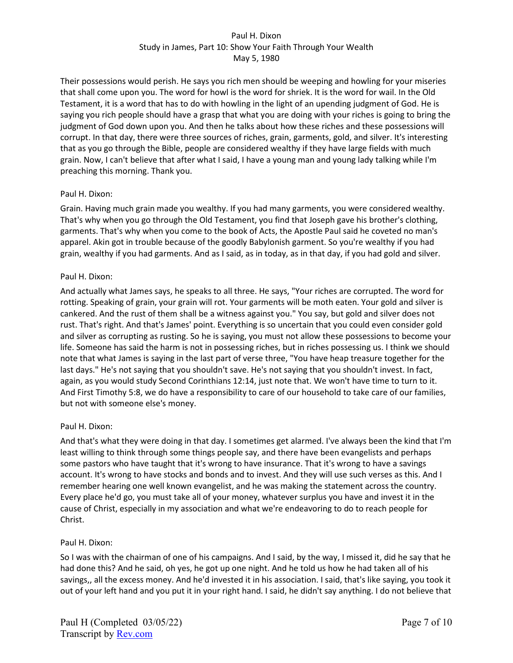Their possessions would perish. He says you rich men should be weeping and howling for your miseries that shall come upon you. The word for howl is the word for shriek. It is the word for wail. In the Old Testament, it is a word that has to do with howling in the light of an upending judgment of God. He is saying you rich people should have a grasp that what you are doing with your riches is going to bring the judgment of God down upon you. And then he talks about how these riches and these possessions will corrupt. In that day, there were three sources of riches, grain, garments, gold, and silver. It's interesting that as you go through the Bible, people are considered wealthy if they have large fields with much grain. Now, I can't believe that after what I said, I have a young man and young lady talking while I'm preaching this morning. Thank you.

# Paul H. Dixon:

Grain. Having much grain made you wealthy. If you had many garments, you were considered wealthy. That's why when you go through the Old Testament, you find that Joseph gave his brother's clothing, garments. That's why when you come to the book of Acts, the Apostle Paul said he coveted no man's apparel. Akin got in trouble because of the goodly Babylonish garment. So you're wealthy if you had grain, wealthy if you had garments. And as I said, as in today, as in that day, if you had gold and silver.

## Paul H. Dixon:

And actually what James says, he speaks to all three. He says, "Your riches are corrupted. The word for rotting. Speaking of grain, your grain will rot. Your garments will be moth eaten. Your gold and silver is cankered. And the rust of them shall be a witness against you." You say, but gold and silver does not rust. That's right. And that's James' point. Everything is so uncertain that you could even consider gold and silver as corrupting as rusting. So he is saying, you must not allow these possessions to become your life. Someone has said the harm is not in possessing riches, but in riches possessing us. I think we should note that what James is saying in the last part of verse three, "You have heap treasure together for the last days." He's not saying that you shouldn't save. He's not saying that you shouldn't invest. In fact, again, as you would study Second Corinthians 12:14, just note that. We won't have time to turn to it. And First Timothy 5:8, we do have a responsibility to care of our household to take care of our families, but not with someone else's money.

# Paul H. Dixon:

And that's what they were doing in that day. I sometimes get alarmed. I've always been the kind that I'm least willing to think through some things people say, and there have been evangelists and perhaps some pastors who have taught that it's wrong to have insurance. That it's wrong to have a savings account. It's wrong to have stocks and bonds and to invest. And they will use such verses as this. And I remember hearing one well known evangelist, and he was making the statement across the country. Every place he'd go, you must take all of your money, whatever surplus you have and invest it in the cause of Christ, especially in my association and what we're endeavoring to do to reach people for Christ.

#### Paul H. Dixon:

So I was with the chairman of one of his campaigns. And I said, by the way, I missed it, did he say that he had done this? And he said, oh yes, he got up one night. And he told us how he had taken all of his savings,, all the excess money. And he'd invested it in his association. I said, that's like saying, you took it out of your left hand and you put it in your right hand. I said, he didn't say anything. I do not believe that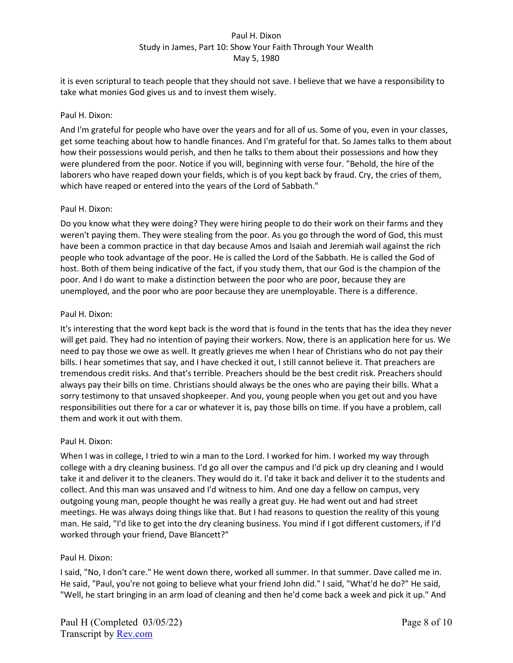it is even scriptural to teach people that they should not save. I believe that we have a responsibility to take what monies God gives us and to invest them wisely.

## Paul H. Dixon:

And I'm grateful for people who have over the years and for all of us. Some of you, even in your classes, get some teaching about how to handle finances. And I'm grateful for that. So James talks to them about how their possessions would perish, and then he talks to them about their possessions and how they were plundered from the poor. Notice if you will, beginning with verse four. "Behold, the hire of the laborers who have reaped down your fields, which is of you kept back by fraud. Cry, the cries of them, which have reaped or entered into the years of the Lord of Sabbath."

## Paul H. Dixon:

Do you know what they were doing? They were hiring people to do their work on their farms and they weren't paying them. They were stealing from the poor. As you go through the word of God, this must have been a common practice in that day because Amos and Isaiah and Jeremiah wail against the rich people who took advantage of the poor. He is called the Lord of the Sabbath. He is called the God of host. Both of them being indicative of the fact, if you study them, that our God is the champion of the poor. And I do want to make a distinction between the poor who are poor, because they are unemployed, and the poor who are poor because they are unemployable. There is a difference.

## Paul H. Dixon:

It's interesting that the word kept back is the word that is found in the tents that has the idea they never will get paid. They had no intention of paying their workers. Now, there is an application here for us. We need to pay those we owe as well. It greatly grieves me when I hear of Christians who do not pay their bills. I hear sometimes that say, and I have checked it out, I still cannot believe it. That preachers are tremendous credit risks. And that's terrible. Preachers should be the best credit risk. Preachers should always pay their bills on time. Christians should always be the ones who are paying their bills. What a sorry testimony to that unsaved shopkeeper. And you, young people when you get out and you have responsibilities out there for a car or whatever it is, pay those bills on time. If you have a problem, call them and work it out with them.

# Paul H. Dixon:

When I was in college, I tried to win a man to the Lord. I worked for him. I worked my way through college with a dry cleaning business. I'd go all over the campus and I'd pick up dry cleaning and I would take it and deliver it to the cleaners. They would do it. I'd take it back and deliver it to the students and collect. And this man was unsaved and I'd witness to him. And one day a fellow on campus, very outgoing young man, people thought he was really a great guy. He had went out and had street meetings. He was always doing things like that. But I had reasons to question the reality of this young man. He said, "I'd like to get into the dry cleaning business. You mind if I got different customers, if I'd worked through your friend, Dave Blancett?"

# Paul H. Dixon:

I said, "No, I don't care." He went down there, worked all summer. In that summer. Dave called me in. He said, "Paul, you're not going to believe what your friend John did." I said, "What'd he do?" He said, "Well, he start bringing in an arm load of cleaning and then he'd come back a week and pick it up." And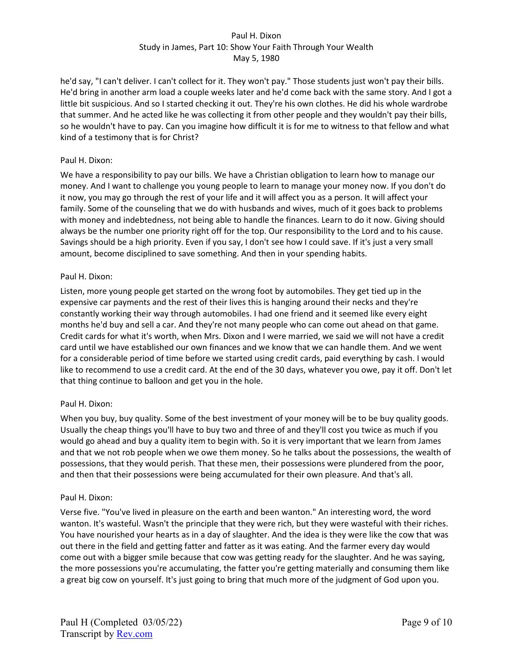he'd say, "I can't deliver. I can't collect for it. They won't pay." Those students just won't pay their bills. He'd bring in another arm load a couple weeks later and he'd come back with the same story. And I got a little bit suspicious. And so I started checking it out. They're his own clothes. He did his whole wardrobe that summer. And he acted like he was collecting it from other people and they wouldn't pay their bills, so he wouldn't have to pay. Can you imagine how difficult it is for me to witness to that fellow and what kind of a testimony that is for Christ?

## Paul H. Dixon:

We have a responsibility to pay our bills. We have a Christian obligation to learn how to manage our money. And I want to challenge you young people to learn to manage your money now. If you don't do it now, you may go through the rest of your life and it will affect you as a person. It will affect your family. Some of the counseling that we do with husbands and wives, much of it goes back to problems with money and indebtedness, not being able to handle the finances. Learn to do it now. Giving should always be the number one priority right off for the top. Our responsibility to the Lord and to his cause. Savings should be a high priority. Even if you say, I don't see how I could save. If it's just a very small amount, become disciplined to save something. And then in your spending habits.

## Paul H. Dixon:

Listen, more young people get started on the wrong foot by automobiles. They get tied up in the expensive car payments and the rest of their lives this is hanging around their necks and they're constantly working their way through automobiles. I had one friend and it seemed like every eight months he'd buy and sell a car. And they're not many people who can come out ahead on that game. Credit cards for what it's worth, when Mrs. Dixon and I were married, we said we will not have a credit card until we have established our own finances and we know that we can handle them. And we went for a considerable period of time before we started using credit cards, paid everything by cash. I would like to recommend to use a credit card. At the end of the 30 days, whatever you owe, pay it off. Don't let that thing continue to balloon and get you in the hole.

# Paul H. Dixon:

When you buy, buy quality. Some of the best investment of your money will be to be buy quality goods. Usually the cheap things you'll have to buy two and three of and they'll cost you twice as much if you would go ahead and buy a quality item to begin with. So it is very important that we learn from James and that we not rob people when we owe them money. So he talks about the possessions, the wealth of possessions, that they would perish. That these men, their possessions were plundered from the poor, and then that their possessions were being accumulated for their own pleasure. And that's all.

#### Paul H. Dixon:

Verse five. "You've lived in pleasure on the earth and been wanton." An interesting word, the word wanton. It's wasteful. Wasn't the principle that they were rich, but they were wasteful with their riches. You have nourished your hearts as in a day of slaughter. And the idea is they were like the cow that was out there in the field and getting fatter and fatter as it was eating. And the farmer every day would come out with a bigger smile because that cow was getting ready for the slaughter. And he was saying, the more possessions you're accumulating, the fatter you're getting materially and consuming them like a great big cow on yourself. It's just going to bring that much more of the judgment of God upon you.